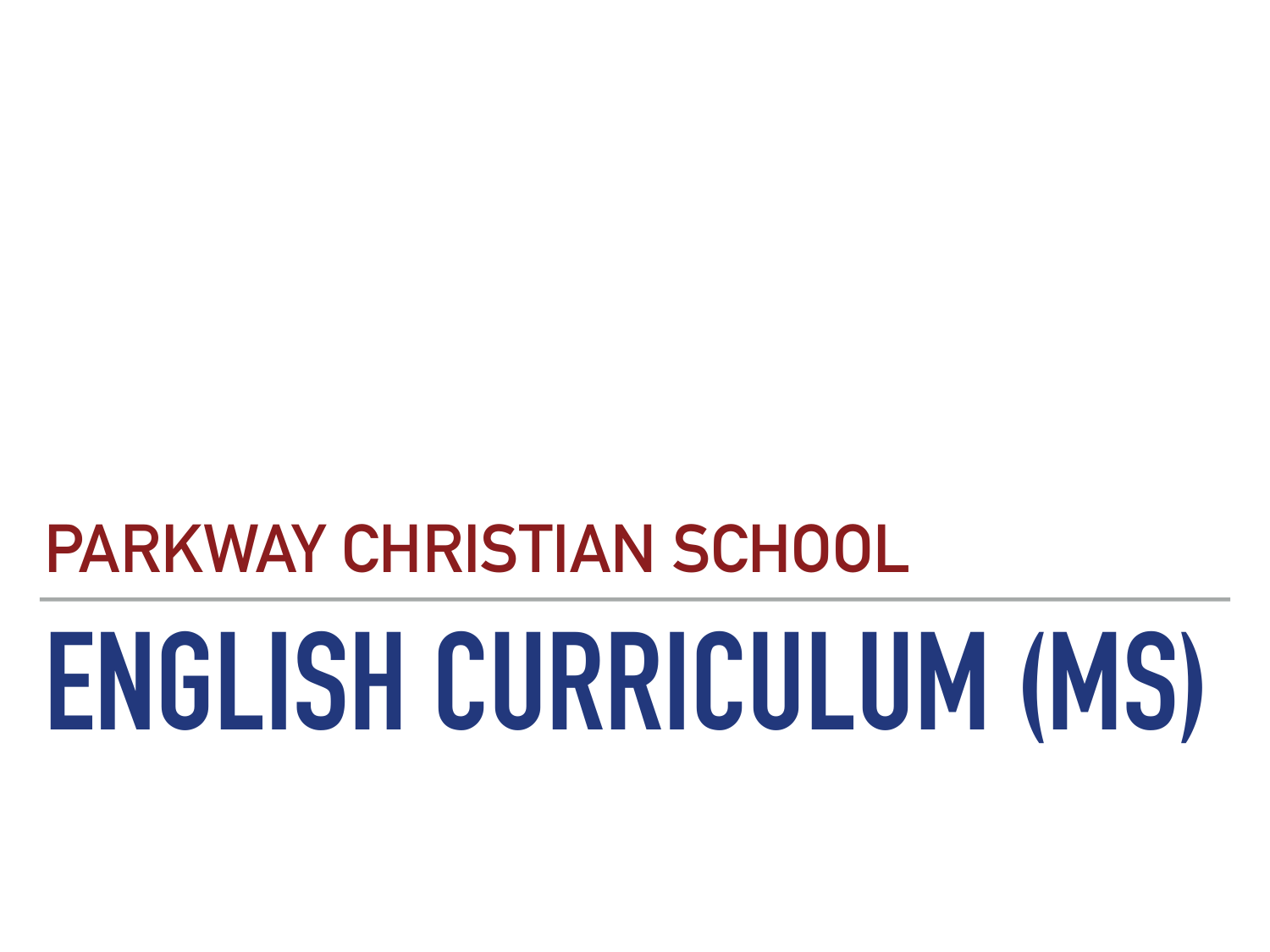# **PARKWAY CHRISTIAN SCHOOL**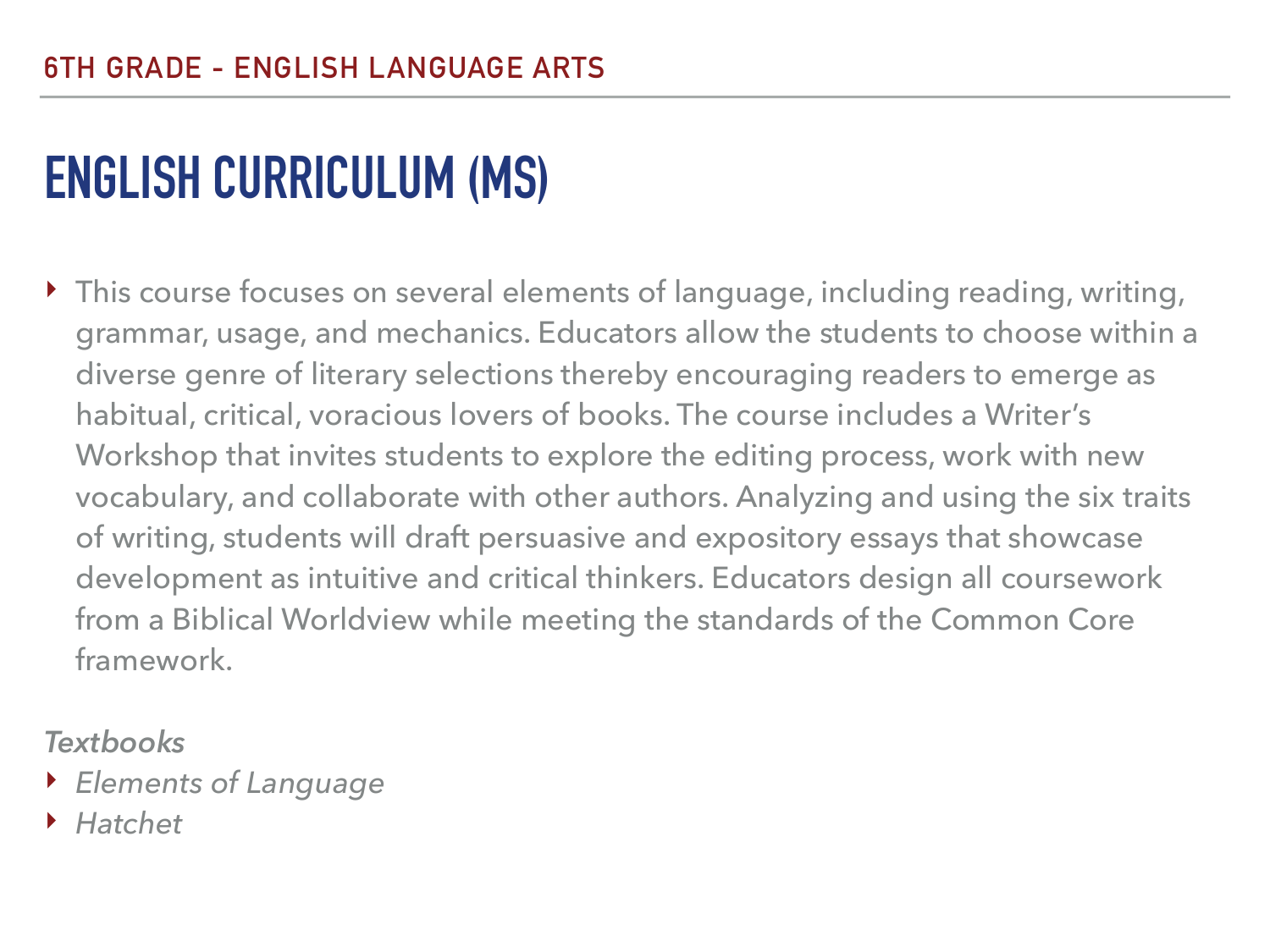‣ This course focuses on several elements of language, including reading, writing, grammar, usage, and mechanics. Educators allow the students to choose within a diverse genre of literary selections thereby encouraging readers to emerge as habitual, critical, voracious lovers of books. The course includes a Writer's Workshop that invites students to explore the editing process, work with new vocabulary, and collaborate with other authors. Analyzing and using the six traits of writing, students will draft persuasive and expository essays that showcase development as intuitive and critical thinkers. Educators design all coursework from a Biblical Worldview while meeting the standards of the Common Core framework.

#### *Textbooks*

- ‣ *Elements of Language*
- ‣ *Hatchet*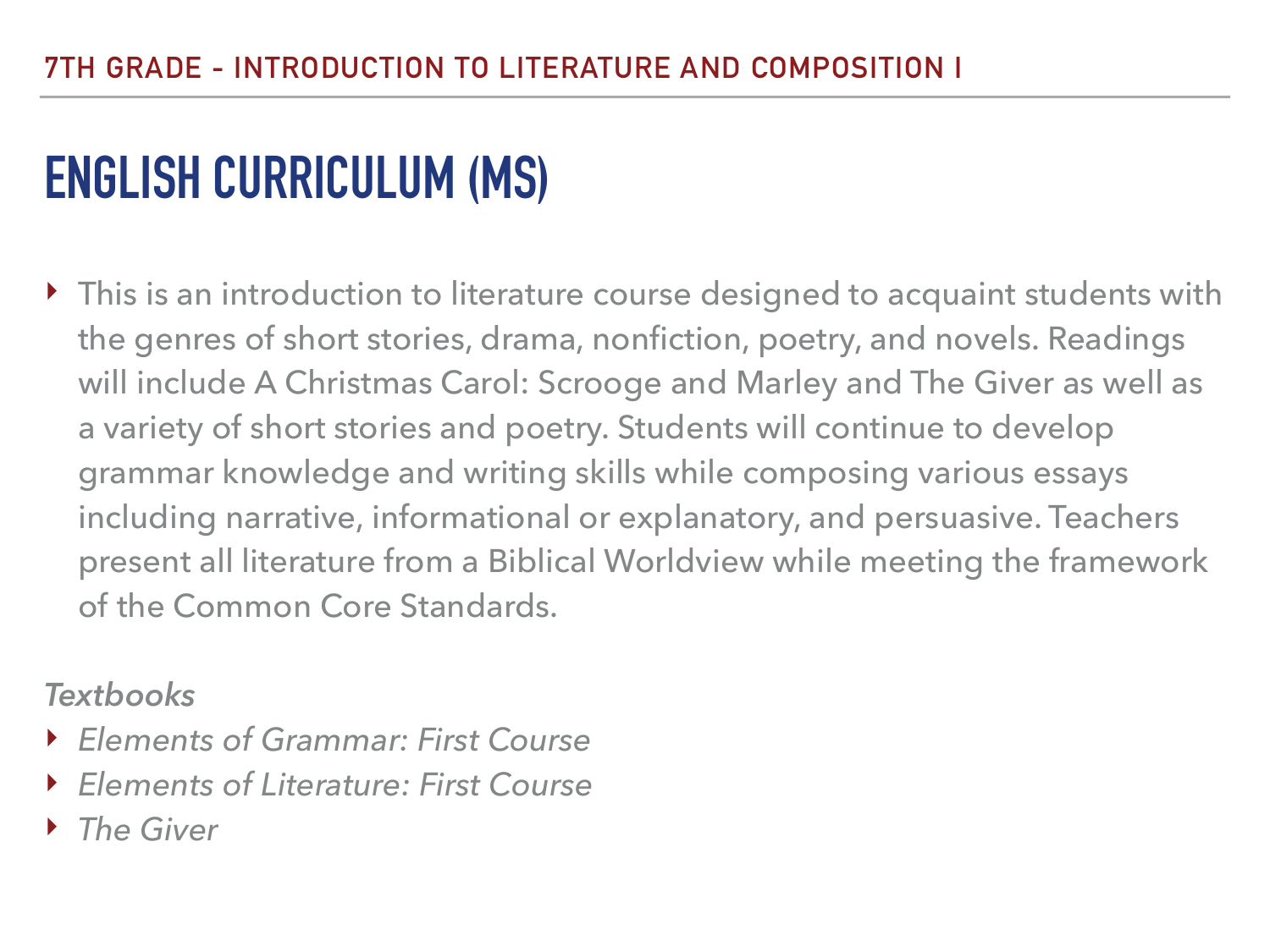▶ This is an introduction to literature course designed to acquaint students with the genres of short stories, drama, nonfiction, poetry, and novels. Readings will include A Christmas Carol: Scrooge and Marley and The Giver as well as a variety of short stories and poetry. Students will continue to develop grammar knowledge and writing skills while composing various essays including narrative, informational or explanatory, and persuasive. Teachers present all literature from a Biblical Worldview while meeting the framework of the Common Core Standards.

#### *Textbooks*

- ‣ *Elements of Grammar: First Course*
- ‣ *Elements of Literature: First Course*
- ‣ *The Giver*